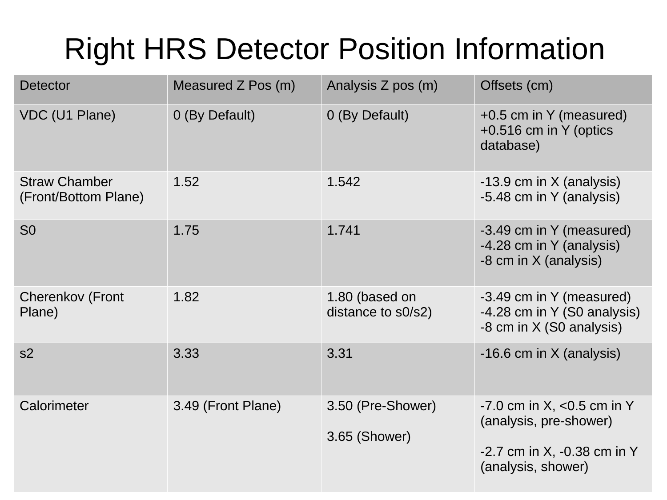## Right HRS Detector Position Information

| <b>Detector</b>                              | Measured Z Pos (m) | Analysis Z pos (m)                   | Offsets (cm)                                                                                                       |
|----------------------------------------------|--------------------|--------------------------------------|--------------------------------------------------------------------------------------------------------------------|
| <b>VDC (U1 Plane)</b>                        | 0 (By Default)     | 0 (By Default)                       | +0.5 cm in Y (measured)<br>$+0.516$ cm in Y (optics<br>database)                                                   |
| <b>Straw Chamber</b><br>(Front/Bottom Plane) | 1.52               | 1.542                                | $-13.9$ cm in X (analysis)<br>-5.48 cm in Y (analysis)                                                             |
| S <sub>0</sub>                               | 1.75               | 1.741                                | -3.49 cm in Y (measured)<br>-4.28 cm in Y (analysis)<br>-8 cm in X (analysis)                                      |
| <b>Cherenkov (Front</b><br>Plane)            | 1.82               | 1.80 (based on<br>distance to s0/s2) | -3.49 cm in Y (measured)<br>-4.28 cm in Y (S0 analysis)<br>-8 cm in X (S0 analysis)                                |
| s2                                           | 3.33               | 3.31                                 | $-16.6$ cm in X (analysis)                                                                                         |
| Calorimeter                                  | 3.49 (Front Plane) | 3.50 (Pre-Shower)<br>3.65 (Shower)   | $-7.0$ cm in X, $< 0.5$ cm in Y<br>(analysis, pre-shower)<br>$-2.7$ cm in X, $-0.38$ cm in Y<br>(analysis, shower) |